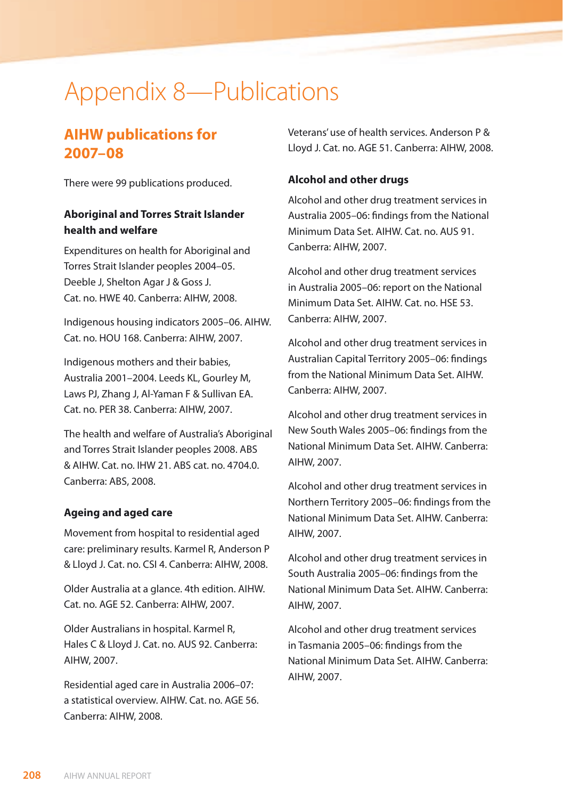# Appendix 8—Publications

# **AIHW publications for 2007–08**

There were 99 publications produced.

## **Aboriginal and Torres Strait Islander health and welfare**

Expenditures on health for Aboriginal and Torres Strait Islander peoples 2004–05. Deeble J, Shelton Agar J & Goss J. Cat. no. HWE 40. Canberra: AIHW, 2008.

Indigenous housing indicators 2005–06. AIHW. Cat. no. HOU 168. Canberra: AIHW, 2007.

Indigenous mothers and their babies, Australia 2001–2004. Leeds KL, Gourley M, Laws PJ, Zhang J, Al-Yaman F & Sullivan EA. Cat. no. PER 38. Canberra: AIHW, 2007.

The health and welfare of Australia's Aboriginal and Torres Strait Islander peoples 2008. ABS & AIHW. Cat. no. IHW 21. ABS cat. no. 4704.0. Canberra: ABS, 2008.

## **Ageing and aged care**

Movement from hospital to residential aged care: preliminary results. Karmel R, Anderson P & Lloyd J. Cat. no. CSI 4. Canberra: AIHW, 2008.

Older Australia at a glance. 4th edition. AIHW. Cat. no. AGE 52. Canberra: AIHW, 2007.

Older Australians in hospital. Karmel R, Hales C & Lloyd J. Cat. no. AUS 92. Canberra: AIHW, 2007.

Residential aged care in Australia 2006–07: a statistical overview. AIHW. Cat. no. AGE 56. Canberra: AIHW, 2008.

Veterans' use of health services. Anderson P & Lloyd J. Cat. no. AGE 51. Canberra: AIHW, 2008.

#### **Alcohol and other drugs**

Alcohol and other drug treatment services in Australia 2005–06: findings from the National Minimum Data Set. AIHW. Cat. no. AUS 91. Canberra: AIHW, 2007.

Alcohol and other drug treatment services in Australia 2005–06: report on the National Minimum Data Set. AIHW. Cat. no. HSE 53. Canberra: AIHW, 2007.

Alcohol and other drug treatment services in Australian Capital Territory 2005–06: findings from the National Minimum Data Set. AIHW. Canberra: AIHW, 2007.

Alcohol and other drug treatment services in New South Wales 2005–06: findings from the National Minimum Data Set. AIHW. Canberra: AIHW, 2007.

Alcohol and other drug treatment services in Northern Territory 2005–06: findings from the National Minimum Data Set. AIHW. Canberra: AIHW, 2007.

Alcohol and other drug treatment services in South Australia 2005–06: findings from the National Minimum Data Set. AIHW. Canberra: AIHW, 2007.

Alcohol and other drug treatment services in Tasmania 2005–06: findings from the National Minimum Data Set. AIHW. Canberra: AIHW, 2007.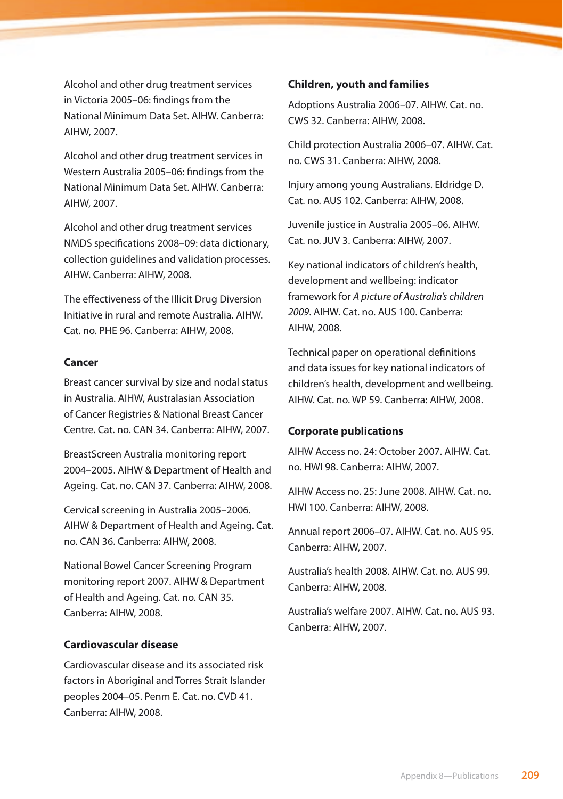Alcohol and other drug treatment services in Victoria 2005–06: findings from the National Minimum Data Set. AIHW. Canberra: AIHW, 2007.

Alcohol and other drug treatment services in Western Australia 2005–06: findings from the National Minimum Data Set. AIHW. Canberra: AIHW, 2007.

Alcohol and other drug treatment services NMDS specifications 2008–09: data dictionary, collection guidelines and validation processes. AIHW. Canberra: AIHW, 2008.

The effectiveness of the Illicit Drug Diversion Initiative in rural and remote Australia. AIHW. Cat. no. PHE 96. Canberra: AIHW, 2008.

#### **Cancer**

Breast cancer survival by size and nodal status in Australia. AIHW, Australasian Association of Cancer Registries & National Breast Cancer Centre. Cat. no. CAN 34. Canberra: AIHW, 2007.

BreastScreen Australia monitoring report 2004–2005. AIHW & Department of Health and Ageing. Cat. no. CAN 37. Canberra: AIHW, 2008.

Cervical screening in Australia 2005–2006. AIHW & Department of Health and Ageing. Cat. no. CAN 36. Canberra: AIHW, 2008.

National Bowel Cancer Screening Program monitoring report 2007. AIHW & Department of Health and Ageing. Cat. no. CAN 35. Canberra: AIHW, 2008.

#### **Cardiovascular disease**

Cardiovascular disease and its associated risk factors in Aboriginal and Torres Strait Islander peoples 2004–05. Penm E. Cat. no. CVD 41. Canberra: AIHW, 2008.

#### **Children, youth and families**

Adoptions Australia 2006–07. AIHW. Cat. no. CWS 32. Canberra: AIHW, 2008.

Child protection Australia 2006–07. AIHW. Cat. no. CWS 31. Canberra: AIHW, 2008.

Injury among young Australians. Eldridge D. Cat. no. AUS 102. Canberra: AIHW, 2008.

Juvenile justice in Australia 2005–06. AIHW. Cat. no. JUV 3. Canberra: AIHW, 2007.

Key national indicators of children's health, development and wellbeing: indicator framework for *A picture of Australia's children 2009*. AIHW. Cat. no. AUS 100. Canberra: AIHW, 2008.

Technical paper on operational definitions and data issues for key national indicators of children's health, development and wellbeing. AIHW. Cat. no. WP 59. Canberra: AIHW, 2008.

#### **Corporate publications**

AIHW Access no. 24: October 2007. AIHW. Cat. no. HWI 98. Canberra: AIHW, 2007.

AIHW Access no. 25: June 2008. AIHW. Cat. no. HWI 100. Canberra: AIHW, 2008.

Annual report 2006–07. AIHW. Cat. no. AUS 95. Canberra: AIHW, 2007.

Australia's health 2008. AIHW. Cat. no. AUS 99. Canberra: AIHW, 2008.

Australia's welfare 2007. AIHW. Cat. no. AUS 93. Canberra: AIHW, 2007.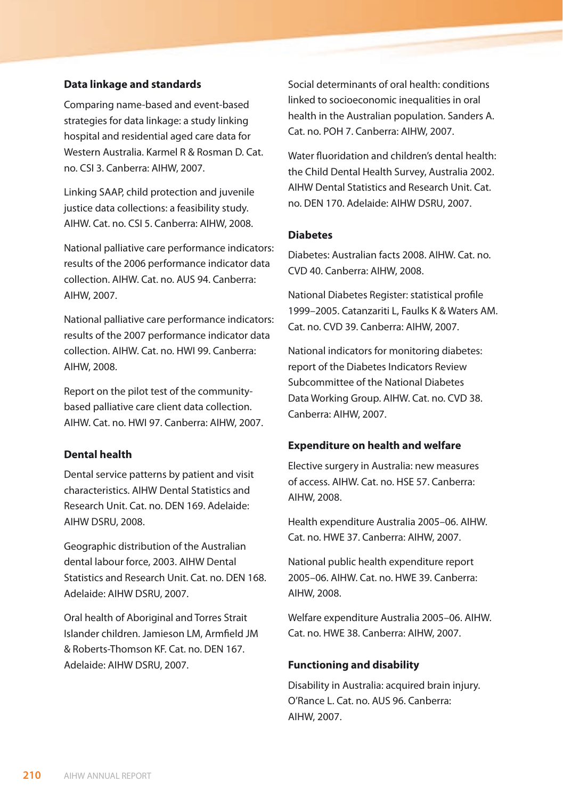#### **Data linkage and standards**

Comparing name-based and event-based strategies for data linkage: a study linking hospital and residential aged care data for Western Australia. Karmel R & Rosman D. Cat. no. CSI 3. Canberra: AIHW, 2007.

Linking SAAP, child protection and juvenile justice data collections: a feasibility study. AIHW. Cat. no. CSI 5. Canberra: AIHW, 2008.

National palliative care performance indicators: results of the 2006 performance indicator data collection. AIHW. Cat. no. AUS 94. Canberra: AIHW, 2007.

National palliative care performance indicators: results of the 2007 performance indicator data collection. AIHW. Cat. no. HWI 99. Canberra: AIHW, 2008.

Report on the pilot test of the communitybased palliative care client data collection. AIHW. Cat. no. HWI 97. Canberra: AIHW, 2007.

## **Dental health**

Dental service patterns by patient and visit characteristics. AIHW Dental Statistics and Research Unit. Cat. no. DEN 169. Adelaide: AIHW DSRU, 2008.

Geographic distribution of the Australian dental labour force, 2003. AIHW Dental Statistics and Research Unit. Cat. no. DEN 168. Adelaide: AIHW DSRU, 2007.

Oral health of Aboriginal and Torres Strait Islander children. Jamieson LM, Armfield JM & Roberts-Thomson KF. Cat. no. DEN 167. Adelaide: AIHW DSRU, 2007.

Social determinants of oral health: conditions linked to socioeconomic inequalities in oral health in the Australian population. Sanders A. Cat. no. POH 7. Canberra: AIHW, 2007.

Water fluoridation and children's dental health: the Child Dental Health Survey, Australia 2002. AIHW Dental Statistics and Research Unit. Cat. no. DEN 170. Adelaide: AIHW DSRU, 2007.

#### **Diabetes**

Diabetes: Australian facts 2008. AIHW. Cat. no. CVD 40. Canberra: AIHW, 2008.

National Diabetes Register: statistical profile 1999–2005. Catanzariti L, Faulks K & Waters AM. Cat. no. CVD 39. Canberra: AIHW, 2007.

National indicators for monitoring diabetes: report of the Diabetes Indicators Review Subcommittee of the National Diabetes Data Working Group. AIHW. Cat. no. CVD 38. Canberra: AIHW, 2007.

#### **Expenditure on health and welfare**

Elective surgery in Australia: new measures of access. AIHW. Cat. no. HSE 57. Canberra: AIHW, 2008.

Health expenditure Australia 2005–06. AIHW. Cat. no. HWE 37. Canberra: AIHW, 2007.

National public health expenditure report 2005–06. AIHW. Cat. no. HWE 39. Canberra: AIHW, 2008.

Welfare expenditure Australia 2005–06. AIHW. Cat. no. HWE 38. Canberra: AIHW, 2007.

#### **Functioning and disability**

Disability in Australia: acquired brain injury. O'Rance L. Cat. no. AUS 96. Canberra: AIHW, 2007.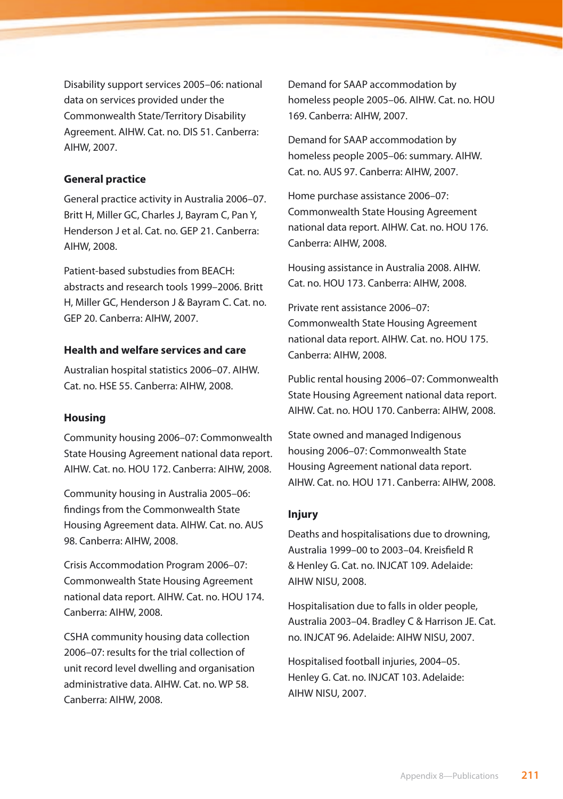Disability support services 2005–06: national data on services provided under the Commonwealth State/Territory Disability Agreement. AIHW. Cat. no. DIS 51. Canberra: AIHW, 2007.

#### **General practice**

General practice activity in Australia 2006–07. Britt H, Miller GC, Charles J, Bayram C, Pan Y, Henderson J et al. Cat. no. GEP 21. Canberra: AIHW, 2008.

Patient-based substudies from BEACH: abstracts and research tools 1999–2006. Britt H, Miller GC, Henderson J & Bayram C. Cat. no. GEP 20. Canberra: AIHW, 2007.

#### **Health and welfare services and care**

Australian hospital statistics 2006–07. AIHW. Cat. no. HSE 55. Canberra: AIHW, 2008.

#### **Housing**

Community housing 2006–07: Commonwealth State Housing Agreement national data report. AIHW. Cat. no. HOU 172. Canberra: AIHW, 2008.

Community housing in Australia 2005–06: findings from the Commonwealth State Housing Agreement data. AIHW. Cat. no. AUS 98. Canberra: AIHW, 2008.

Crisis Accommodation Program 2006–07: Commonwealth State Housing Agreement national data report. AIHW. Cat. no. HOU 174. Canberra: AIHW, 2008.

CSHA community housing data collection 2006–07: results for the trial collection of unit record level dwelling and organisation administrative data. AIHW. Cat. no. WP 58. Canberra: AIHW, 2008.

Demand for SAAP accommodation by homeless people 2005–06. AIHW. Cat. no. HOU 169. Canberra: AIHW, 2007.

Demand for SAAP accommodation by homeless people 2005–06: summary. AIHW. Cat. no. AUS 97. Canberra: AIHW, 2007.

Home purchase assistance 2006–07: Commonwealth State Housing Agreement national data report. AIHW. Cat. no. HOU 176. Canberra: AIHW, 2008.

Housing assistance in Australia 2008. AIHW. Cat. no. HOU 173. Canberra: AIHW, 2008.

Private rent assistance 2006–07: Commonwealth State Housing Agreement national data report. AIHW. Cat. no. HOU 175. Canberra: AIHW, 2008.

Public rental housing 2006–07: Commonwealth State Housing Agreement national data report. AIHW. Cat. no. HOU 170. Canberra: AIHW, 2008.

State owned and managed Indigenous housing 2006–07: Commonwealth State Housing Agreement national data report. AIHW. Cat. no. HOU 171. Canberra: AIHW, 2008.

#### **Injury**

Deaths and hospitalisations due to drowning, Australia 1999–00 to 2003–04. Kreisfield R & Henley G. Cat. no. INJCAT 109. Adelaide: AIHW NISU, 2008.

Hospitalisation due to falls in older people, Australia 2003–04. Bradley C & Harrison JE. Cat. no. INJCAT 96. Adelaide: AIHW NISU, 2007.

Hospitalised football injuries, 2004–05. Henley G. Cat. no. INJCAT 103. Adelaide: AIHW NISU, 2007.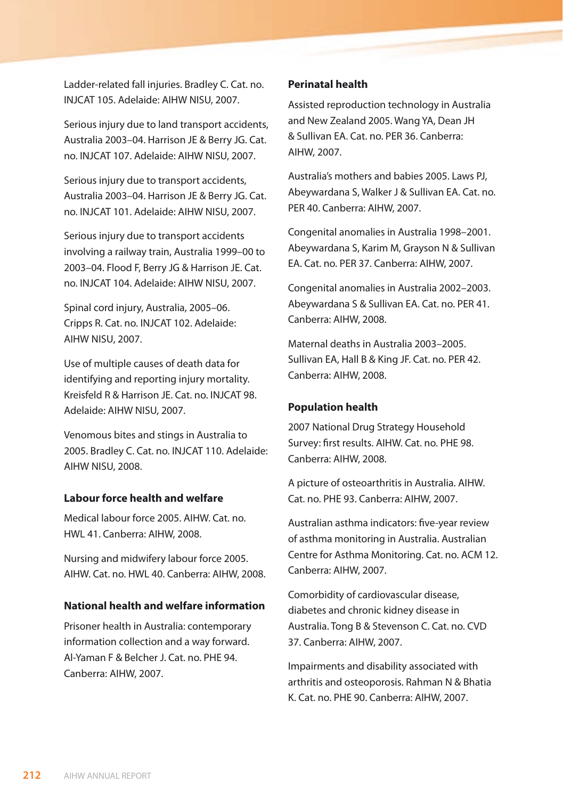Ladder-related fall injuries. Bradley C. Cat. no. INJCAT 105. Adelaide: AIHW NISU, 2007.

Serious injury due to land transport accidents, Australia 2003–04. Harrison JE & Berry JG. Cat. no. INJCAT 107. Adelaide: AIHW NISU, 2007.

Serious injury due to transport accidents, Australia 2003–04. Harrison JE & Berry JG. Cat. no. INJCAT 101. Adelaide: AIHW NISU, 2007.

Serious injury due to transport accidents involving a railway train, Australia 1999–00 to 2003–04. Flood F, Berry JG & Harrison JE. Cat. no. INJCAT 104. Adelaide: AIHW NISU, 2007.

Spinal cord injury, Australia, 2005–06. Cripps R. Cat. no. INJCAT 102. Adelaide: AIHW NISU, 2007.

Use of multiple causes of death data for identifying and reporting injury mortality. Kreisfeld R & Harrison JE. Cat. no. INJCAT 98. Adelaide: AIHW NISU, 2007.

Venomous bites and stings in Australia to 2005. Bradley C. Cat. no. INJCAT 110. Adelaide: AIHW NISU, 2008.

#### **Labour force health and welfare**

Medical labour force 2005. AIHW. Cat. no. HWL 41. Canberra: AIHW, 2008.

Nursing and midwifery labour force 2005. AIHW. Cat. no. HWL 40. Canberra: AIHW, 2008.

## **National health and welfare information**

Prisoner health in Australia: contemporary information collection and a way forward. Al-Yaman F & Belcher J. Cat. no. PHE 94. Canberra: AIHW, 2007.

#### **Perinatal health**

Assisted reproduction technology in Australia and New Zealand 2005. Wang YA, Dean JH & Sullivan EA. Cat. no. PER 36. Canberra: AIHW, 2007.

Australia's mothers and babies 2005. Laws PJ, Abeywardana S, Walker J & Sullivan EA. Cat. no. PER 40. Canberra: AIHW, 2007.

Congenital anomalies in Australia 1998–2001. Abeywardana S, Karim M, Grayson N & Sullivan EA. Cat. no. PER 37. Canberra: AIHW, 2007.

Congenital anomalies in Australia 2002–2003. Abeywardana S & Sullivan EA. Cat. no. PER 41. Canberra: AIHW, 2008.

Maternal deaths in Australia 2003–2005. Sullivan EA, Hall B & King JF. Cat. no. PER 42. Canberra: AIHW, 2008.

## **Population health**

2007 National Drug Strategy Household Survey: first results. AIHW. Cat. no. PHE 98. Canberra: AIHW, 2008.

A picture of osteoarthritis in Australia. AIHW. Cat. no. PHE 93. Canberra: AIHW, 2007.

Australian asthma indicators: five-year review of asthma monitoring in Australia. Australian Centre for Asthma Monitoring. Cat. no. ACM 12. Canberra: AIHW, 2007.

Comorbidity of cardiovascular disease, diabetes and chronic kidney disease in Australia. Tong B & Stevenson C. Cat. no. CVD 37. Canberra: AIHW, 2007.

Impairments and disability associated with arthritis and osteoporosis. Rahman N & Bhatia K. Cat. no. PHE 90. Canberra: AIHW, 2007.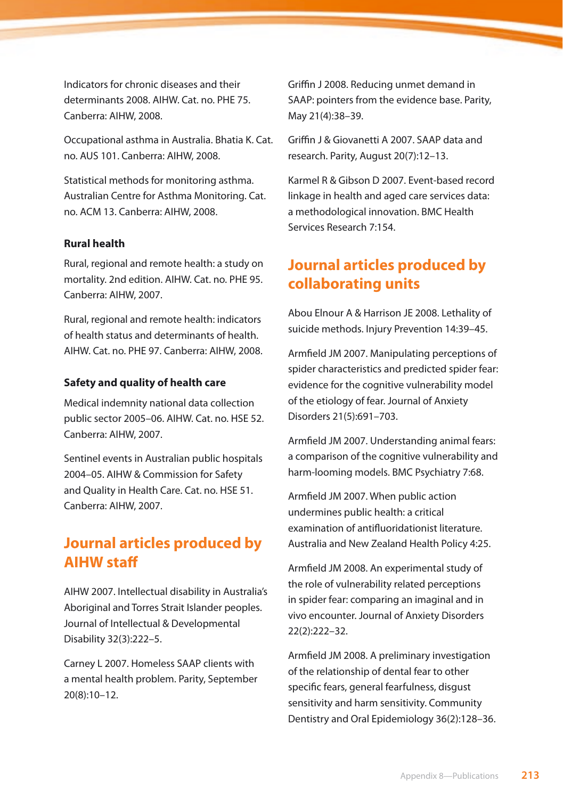Indicators for chronic diseases and their determinants 2008. AIHW. Cat. no. PHE 75. Canberra: AIHW, 2008.

Occupational asthma in Australia. Bhatia K. Cat. no. AUS 101. Canberra: AIHW, 2008.

Statistical methods for monitoring asthma. Australian Centre for Asthma Monitoring. Cat. no. ACM 13. Canberra: AIHW, 2008.

## **Rural health**

Rural, regional and remote health: a study on mortality. 2nd edition. AIHW. Cat. no. PHE 95. Canberra: AIHW, 2007.

Rural, regional and remote health: indicators of health status and determinants of health. AIHW. Cat. no. PHE 97. Canberra: AIHW, 2008.

#### **Safety and quality of health care**

Medical indemnity national data collection public sector 2005–06. AIHW. Cat. no. HSE 52. Canberra: AIHW, 2007.

Sentinel events in Australian public hospitals 2004–05. AIHW & Commission for Safety and Quality in Health Care. Cat. no. HSE 51. Canberra: AIHW, 2007.

# **Journal articles produced by AIHW staff**

AIHW 2007. Intellectual disability in Australia's Aboriginal and Torres Strait Islander peoples. Journal of Intellectual & Developmental Disability 32(3):222–5.

Carney L 2007. Homeless SAAP clients with a mental health problem. Parity, September 20(8):10–12.

Griffin J 2008. Reducing unmet demand in SAAP: pointers from the evidence base. Parity, May 21(4):38–39.

Griffin J & Giovanetti A 2007. SAAP data and research. Parity, August 20(7):12–13.

Karmel R & Gibson D 2007. Event-based record linkage in health and aged care services data: a methodological innovation. BMC Health Services Research 7:154.

# **Journal articles produced by collaborating units**

Abou Elnour A & Harrison JE 2008. Lethality of suicide methods. Injury Prevention 14:39–45.

Armfield JM 2007. Manipulating perceptions of spider characteristics and predicted spider fear: evidence for the cognitive vulnerability model of the etiology of fear. Journal of Anxiety Disorders 21(5):691–703.

Armfield JM 2007. Understanding animal fears: a comparison of the cognitive vulnerability and harm-looming models. BMC Psychiatry 7:68.

Armfield JM 2007. When public action undermines public health: a critical examination of antifluoridationist literature. Australia and New Zealand Health Policy 4:25.

Armfield JM 2008. An experimental study of the role of vulnerability related perceptions in spider fear: comparing an imaginal and in vivo encounter. Journal of Anxiety Disorders 22(2):222–32.

Armfield JM 2008. A preliminary investigation of the relationship of dental fear to other specific fears, general fearfulness, disgust sensitivity and harm sensitivity. Community Dentistry and Oral Epidemiology 36(2):128–36.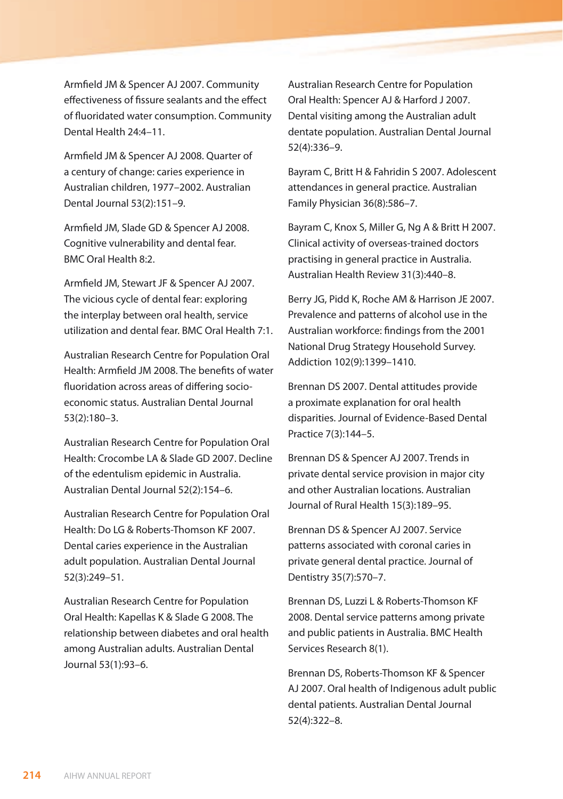Armfield JM & Spencer AJ 2007. Community effectiveness of fissure sealants and the effect of fluoridated water consumption. Community Dental Health 24:4–11.

Armfield JM & Spencer AJ 2008. Quarter of a century of change: caries experience in Australian children, 1977–2002. Australian Dental Journal 53(2):151–9.

Armfield JM, Slade GD & Spencer AJ 2008. Cognitive vulnerability and dental fear. BMC Oral Health 8:2.

Armfield JM, Stewart JF & Spencer AJ 2007. The vicious cycle of dental fear: exploring the interplay between oral health, service utilization and dental fear. BMC Oral Health 7:1.

Australian Research Centre for Population Oral Health: Armfield JM 2008. The benefits of water fluoridation across areas of differing socioeconomic status. Australian Dental Journal 53(2):180–3.

Australian Research Centre for Population Oral Health: Crocombe LA & Slade GD 2007. Decline of the edentulism epidemic in Australia. Australian Dental Journal 52(2):154–6.

Australian Research Centre for Population Oral Health: Do LG & Roberts-Thomson KF 2007. Dental caries experience in the Australian adult population. Australian Dental Journal 52(3):249–51.

Australian Research Centre for Population Oral Health: Kapellas K & Slade G 2008. The relationship between diabetes and oral health among Australian adults. Australian Dental Journal 53(1):93–6.

Australian Research Centre for Population Oral Health: Spencer AJ & Harford J 2007. Dental visiting among the Australian adult dentate population. Australian Dental Journal 52(4):336–9.

Bayram C, Britt H & Fahridin S 2007. Adolescent attendances in general practice. Australian Family Physician 36(8):586–7.

Bayram C, Knox S, Miller G, Ng A & Britt H 2007. Clinical activity of overseas-trained doctors practising in general practice in Australia. Australian Health Review 31(3):440–8.

Berry JG, Pidd K, Roche AM & Harrison JE 2007. Prevalence and patterns of alcohol use in the Australian workforce: findings from the 2001 National Drug Strategy Household Survey. Addiction 102(9):1399–1410.

Brennan DS 2007. Dental attitudes provide a proximate explanation for oral health disparities. Journal of Evidence-Based Dental Practice 7(3):144–5.

Brennan DS & Spencer AJ 2007. Trends in private dental service provision in major city and other Australian locations. Australian Journal of Rural Health 15(3):189–95.

Brennan DS & Spencer AJ 2007. Service patterns associated with coronal caries in private general dental practice. Journal of Dentistry 35(7):570–7.

Brennan DS, Luzzi L & Roberts-Thomson KF 2008. Dental service patterns among private and public patients in Australia. BMC Health Services Research 8(1).

Brennan DS, Roberts-Thomson KF & Spencer AJ 2007. Oral health of Indigenous adult public dental patients. Australian Dental Journal 52(4):322–8.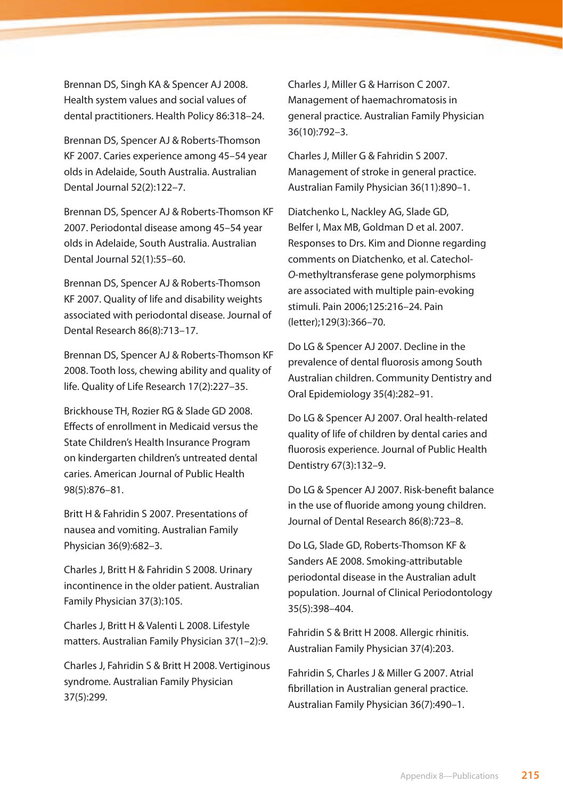Brennan DS, Singh KA & Spencer AJ 2008. Health system values and social values of dental practitioners. Health Policy 86:318–24.

Brennan DS, Spencer AJ & Roberts-Thomson KF 2007. Caries experience among 45–54 year olds in Adelaide, South Australia. Australian Dental Journal 52(2):122–7.

Brennan DS, Spencer AJ & Roberts-Thomson KF 2007. Periodontal disease among 45–54 year olds in Adelaide, South Australia. Australian Dental Journal 52(1):55–60.

Brennan DS, Spencer AJ & Roberts-Thomson KF 2007. Quality of life and disability weights associated with periodontal disease. Journal of Dental Research 86(8):713–17.

Brennan DS, Spencer AJ & Roberts-Thomson KF 2008. Tooth loss, chewing ability and quality of life. Quality of Life Research 17(2):227–35.

Brickhouse TH, Rozier RG & Slade GD 2008. Effects of enrollment in Medicaid versus the State Children's Health Insurance Program on kindergarten children's untreated dental caries. American Journal of Public Health 98(5):876–81.

Britt H & Fahridin S 2007. Presentations of nausea and vomiting. Australian Family Physician 36(9):682–3.

Charles J, Britt H & Fahridin S 2008. Urinary incontinence in the older patient. Australian Family Physician 37(3):105.

Charles J, Britt H & Valenti L 2008. Lifestyle matters. Australian Family Physician 37(1–2):9.

Charles J, Fahridin S & Britt H 2008. Vertiginous syndrome. Australian Family Physician 37(5):299.

Charles J, Miller G & Harrison C 2007. Management of haemachromatosis in general practice. Australian Family Physician 36(10):792–3.

Charles J, Miller G & Fahridin S 2007. Management of stroke in general practice. Australian Family Physician 36(11):890–1.

Diatchenko L, Nackley AG, Slade GD, Belfer I, Max MB, Goldman D et al. 2007. Responses to Drs. Kim and Dionne regarding comments on Diatchenko, et al. Catechol-*O*-methyltransferase gene polymorphisms are associated with multiple pain-evoking stimuli. Pain 2006;125:216–24. Pain (letter);129(3):366–70.

Do LG & Spencer AJ 2007. Decline in the prevalence of dental fluorosis among South Australian children. Community Dentistry and Oral Epidemiology 35(4):282–91.

Do LG & Spencer AJ 2007. Oral health-related quality of life of children by dental caries and fluorosis experience. Journal of Public Health Dentistry 67(3):132–9.

Do LG & Spencer AJ 2007. Risk-benefit balance in the use of fluoride among young children. Journal of Dental Research 86(8):723–8.

Do LG, Slade GD, Roberts-Thomson KF & Sanders AE 2008. Smoking-attributable periodontal disease in the Australian adult population. Journal of Clinical Periodontology 35(5):398–404.

Fahridin S & Britt H 2008. Allergic rhinitis. Australian Family Physician 37(4):203.

Fahridin S, Charles J & Miller G 2007. Atrial fibrillation in Australian general practice. Australian Family Physician 36(7):490–1.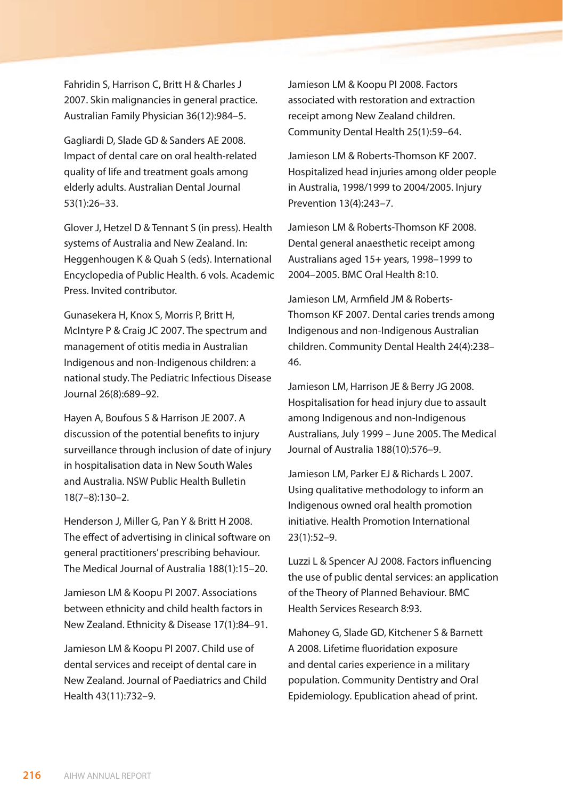Fahridin S, Harrison C, Britt H & Charles J 2007. Skin malignancies in general practice. Australian Family Physician 36(12):984–5.

Gagliardi D, Slade GD & Sanders AE 2008. Impact of dental care on oral health-related quality of life and treatment goals among elderly adults. Australian Dental Journal 53(1):26–33.

Glover J, Hetzel D & Tennant S (in press). Health systems of Australia and New Zealand. In: Heggenhougen K & Quah S (eds). International Encyclopedia of Public Health. 6 vols. Academic Press. Invited contributor.

Gunasekera H, Knox S, Morris P, Britt H, McIntyre P & Craig JC 2007. The spectrum and management of otitis media in Australian Indigenous and non-Indigenous children: a national study. The Pediatric Infectious Disease Journal 26(8):689–92.

Hayen A, Boufous S & Harrison JE 2007. A discussion of the potential benefits to injury surveillance through inclusion of date of injury in hospitalisation data in New South Wales and Australia. NSW Public Health Bulletin 18(7–8):130–2.

Henderson J, Miller G, Pan Y & Britt H 2008. The effect of advertising in clinical software on general practitioners' prescribing behaviour. The Medical Journal of Australia 188(1):15–20.

Jamieson LM & Koopu PI 2007. Associations between ethnicity and child health factors in New Zealand. Ethnicity & Disease 17(1):84–91.

Jamieson LM & Koopu PI 2007. Child use of dental services and receipt of dental care in New Zealand. Journal of Paediatrics and Child Health 43(11):732–9.

Jamieson LM & Koopu PI 2008. Factors associated with restoration and extraction receipt among New Zealand children. Community Dental Health 25(1):59–64.

Jamieson LM & Roberts-Thomson KF 2007. Hospitalized head injuries among older people in Australia, 1998/1999 to 2004/2005. Injury Prevention 13(4):243–7.

Jamieson LM & Roberts-Thomson KF 2008. Dental general anaesthetic receipt among Australians aged 15+ years, 1998–1999 to 2004–2005. BMC Oral Health 8:10.

Jamieson LM, Armfield JM & Roberts-Thomson KF 2007. Dental caries trends among Indigenous and non-Indigenous Australian children. Community Dental Health 24(4):238– 46.

Jamieson LM, Harrison JE & Berry JG 2008. Hospitalisation for head injury due to assault among Indigenous and non-Indigenous Australians, July 1999 – June 2005. The Medical Journal of Australia 188(10):576–9.

Jamieson LM, Parker EJ & Richards L 2007. Using qualitative methodology to inform an Indigenous owned oral health promotion initiative. Health Promotion International 23(1):52–9.

Luzzi L & Spencer AJ 2008. Factors influencing the use of public dental services: an application of the Theory of Planned Behaviour. BMC Health Services Research 8:93.

Mahoney G, Slade GD, Kitchener S & Barnett A 2008. Lifetime fluoridation exposure and dental caries experience in a military population. Community Dentistry and Oral Epidemiology. Epublication ahead of print.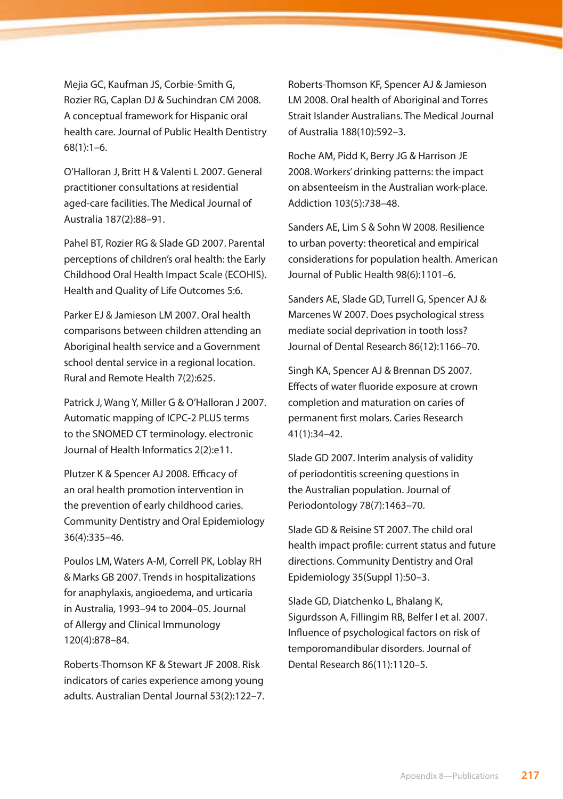Mejia GC, Kaufman JS, Corbie-Smith G, Rozier RG, Caplan DJ & Suchindran CM 2008. A conceptual framework for Hispanic oral health care. Journal of Public Health Dentistry 68(1):1–6.

O'Halloran J, Britt H & Valenti L 2007. General practitioner consultations at residential aged-care facilities. The Medical Journal of Australia 187(2):88–91.

Pahel BT, Rozier RG & Slade GD 2007. Parental perceptions of children's oral health: the Early Childhood Oral Health Impact Scale (ECOHIS). Health and Quality of Life Outcomes 5:6.

Parker EJ & Jamieson LM 2007. Oral health comparisons between children attending an Aboriginal health service and a Government school dental service in a regional location. Rural and Remote Health 7(2):625.

Patrick J, Wang Y, Miller G & O'Halloran J 2007. Automatic mapping of ICPC-2 PLUS terms to the SNOMED CT terminology. electronic Journal of Health Informatics 2(2):e11.

Plutzer K & Spencer AJ 2008. Efficacy of an oral health promotion intervention in the prevention of early childhood caries. Community Dentistry and Oral Epidemiology 36(4):335–46.

Poulos LM, Waters A-M, Correll PK, Loblay RH & Marks GB 2007. Trends in hospitalizations for anaphylaxis, angioedema, and urticaria in Australia, 1993–94 to 2004–05. Journal of Allergy and Clinical Immunology 120(4):878–84.

Roberts-Thomson KF & Stewart JF 2008. Risk indicators of caries experience among young adults. Australian Dental Journal 53(2):122–7. Roberts-Thomson KF, Spencer AJ & Jamieson LM 2008. Oral health of Aboriginal and Torres Strait Islander Australians. The Medical Journal of Australia 188(10):592–3.

Roche AM, Pidd K, Berry JG & Harrison JE 2008. Workers' drinking patterns: the impact on absenteeism in the Australian work-place. Addiction 103(5):738–48.

Sanders AE, Lim S & Sohn W 2008. Resilience to urban poverty: theoretical and empirical considerations for population health. American Journal of Public Health 98(6):1101–6.

Sanders AE, Slade GD, Turrell G, Spencer AJ & Marcenes W 2007. Does psychological stress mediate social deprivation in tooth loss? Journal of Dental Research 86(12):1166–70.

Singh KA, Spencer AJ & Brennan DS 2007. Effects of water fluoride exposure at crown completion and maturation on caries of permanent first molars. Caries Research 41(1):34–42.

Slade GD 2007. Interim analysis of validity of periodontitis screening questions in the Australian population. Journal of Periodontology 78(7):1463–70.

Slade GD & Reisine ST 2007. The child oral health impact profile: current status and future directions. Community Dentistry and Oral Epidemiology 35(Suppl 1):50–3.

Slade GD, Diatchenko L, Bhalang K, Sigurdsson A, Fillingim RB, Belfer I et al. 2007. Influence of psychological factors on risk of temporomandibular disorders. Journal of Dental Research 86(11):1120–5.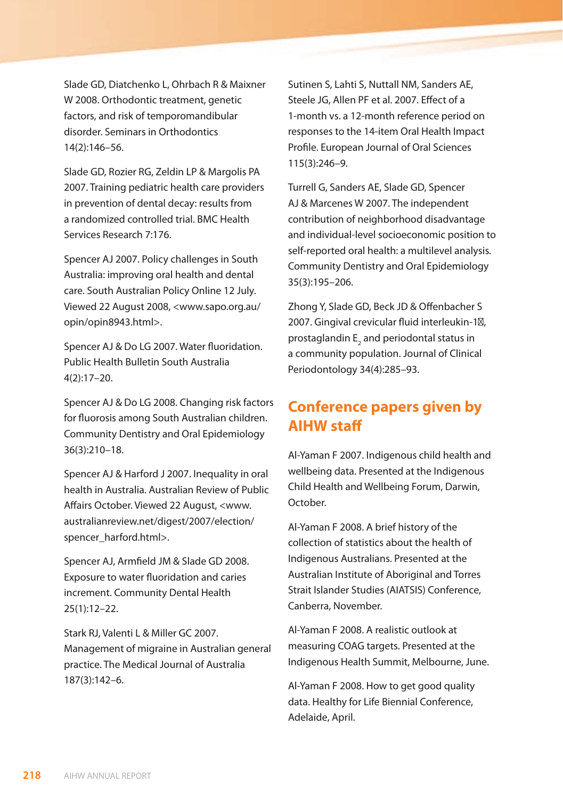Slade GD, Diatchenko L, Ohrbach R & Maixner W 2008. Orthodontic treatment, genetic factors, and risk of temporomandibular disorder. Seminars in Orthodontics 14(2):146–56.

Slade GD, Rozier RG, Zeldin LP & Margolis PA 2007. Training pediatric health care providers in prevention of dental decay: results from a randomized controlled trial. BMC Health Services Research 7:176.

Spencer AJ 2007. Policy challenges in South Australia: improving oral health and dental care. South Australian Policy Online 12 July. Viewed 22 August 2008, <www.sapo.org.au/ opin/opin8943.html>.

Spencer AJ & Do LG 2007. Water fluoridation. Public Health Bulletin South Australia 4(2):17–20.

Spencer AJ & Do LG 2008. Changing risk factors for fluorosis among South Australian children. Community Dentistry and Oral Epidemiology 36(3):210–18.

Spencer AJ & Harford J 2007. Inequality in oral health in Australia. Australian Review of Public Affairs October. Viewed 22 August, <www. australianreview.net/digest/2007/election/ spencer\_harford.html>.

Spencer AJ, Armfield JM & Slade GD 2008. Exposure to water fluoridation and caries increment. Community Dental Health 25(1):12–22.

Stark RJ, Valenti L & Miller GC 2007. Management of migraine in Australian general practice. The Medical Journal of Australia 187(3):142–6.

Sutinen S, Lahti S, Nuttall NM, Sanders AE, Steele JG, Allen PF et al. 2007. Effect of a 1-month vs. a 12-month reference period on responses to the 14-item Oral Health Impact Profile. European Journal of Oral Sciences 115(3):246–9.

Turrell G, Sanders AE, Slade GD, Spencer AJ & Marcenes W 2007. The independent contribution of neighborhood disadvantage and individual-level socioeconomic position to self-reported oral health: a multilevel analysis. Community Dentistry and Oral Epidemiology 35(3):195–206.

Zhong Y, Slade GD, Beck JD & Offenbacher S 2007. Gingival crevicular fluid interleukin-1, prostaglandin  $\mathsf{E}_\mathsf{2}$  and periodontal status in a community population. Journal of Clinical Periodontology 34(4):285–93.

# **Conference papers given by AIHW staff**

Al-Yaman F 2007. Indigenous child health and wellbeing data. Presented at the Indigenous Child Health and Wellbeing Forum, Darwin, October.

Al-Yaman F 2008. A brief history of the collection of statistics about the health of Indigenous Australians. Presented at the Australian Institute of Aboriginal and Torres Strait Islander Studies (AIATSIS) Conference, Canberra, November.

Al-Yaman F 2008. A realistic outlook at measuring COAG targets. Presented at the Indigenous Health Summit, Melbourne, June.

Al-Yaman F 2008. How to get good quality data. Healthy for Life Biennial Conference, Adelaide, April.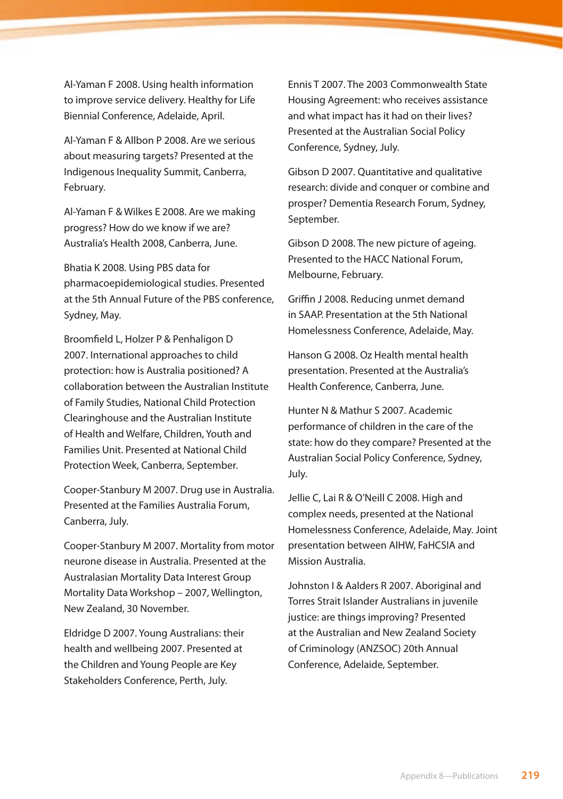Al-Yaman F 2008. Using health information to improve service delivery. Healthy for Life Biennial Conference, Adelaide, April.

Al-Yaman F & Allbon P 2008. Are we serious about measuring targets? Presented at the Indigenous Inequality Summit, Canberra, February.

Al-Yaman F & Wilkes E 2008. Are we making progress? How do we know if we are? Australia's Health 2008, Canberra, June.

Bhatia K 2008. Using PBS data for pharmacoepidemiological studies. Presented at the 5th Annual Future of the PBS conference, Sydney, May.

Broomfield L, Holzer P & Penhaligon D 2007. International approaches to child protection: how is Australia positioned? A collaboration between the Australian Institute of Family Studies, National Child Protection Clearinghouse and the Australian Institute of Health and Welfare, Children, Youth and Families Unit. Presented at National Child Protection Week, Canberra, September.

Cooper-Stanbury M 2007. Drug use in Australia. Presented at the Families Australia Forum, Canberra, July.

Cooper-Stanbury M 2007. Mortality from motor neurone disease in Australia. Presented at the Australasian Mortality Data Interest Group Mortality Data Workshop – 2007, Wellington, New Zealand, 30 November.

Eldridge D 2007. Young Australians: their health and wellbeing 2007. Presented at the Children and Young People are Key Stakeholders Conference, Perth, July.

Ennis T 2007. The 2003 Commonwealth State Housing Agreement: who receives assistance and what impact has it had on their lives? Presented at the Australian Social Policy Conference, Sydney, July.

Gibson D 2007. Quantitative and qualitative research: divide and conquer or combine and prosper? Dementia Research Forum, Sydney, September.

Gibson D 2008. The new picture of ageing. Presented to the HACC National Forum, Melbourne, February.

Griffin J 2008. Reducing unmet demand in SAAP. Presentation at the 5th National Homelessness Conference, Adelaide, May.

Hanson G 2008. Oz Health mental health presentation. Presented at the Australia's Health Conference, Canberra, June.

Hunter N & Mathur S 2007. Academic performance of children in the care of the state: how do they compare? Presented at the Australian Social Policy Conference, Sydney, July.

Jellie C, Lai R & O'Neill C 2008. High and complex needs, presented at the National Homelessness Conference, Adelaide, May. Joint presentation between AIHW, FaHCSIA and Mission Australia.

Johnston I & Aalders R 2007. Aboriginal and Torres Strait Islander Australians in juvenile justice: are things improving? Presented at the Australian and New Zealand Society of Criminology (ANZSOC) 20th Annual Conference, Adelaide, September.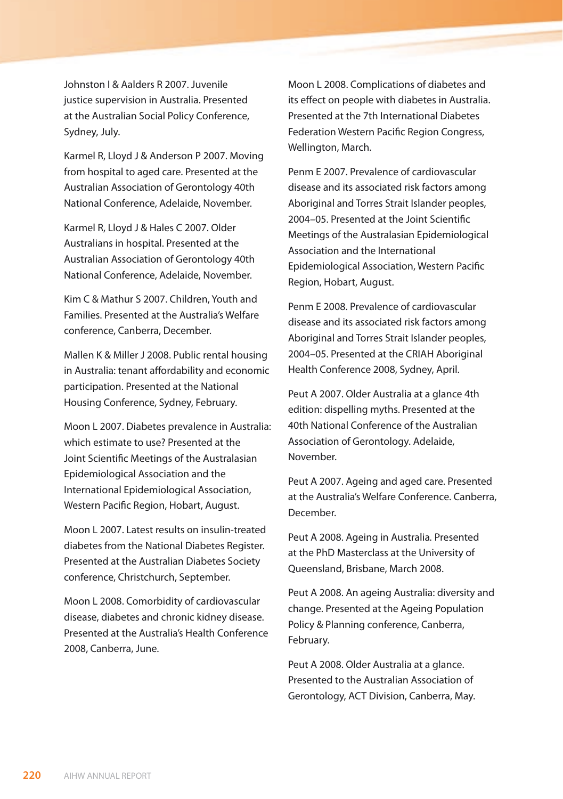Johnston I & Aalders R 2007. Juvenile justice supervision in Australia. Presented at the Australian Social Policy Conference, Sydney, July.

Karmel R, Lloyd J & Anderson P 2007. Moving from hospital to aged care. Presented at the Australian Association of Gerontology 40th National Conference, Adelaide, November.

Karmel R, Lloyd J & Hales C 2007. Older Australians in hospital. Presented at the Australian Association of Gerontology 40th National Conference, Adelaide, November.

Kim C & Mathur S 2007. Children, Youth and Families. Presented at the Australia's Welfare conference, Canberra, December.

Mallen K & Miller J 2008. Public rental housing in Australia: tenant affordability and economic participation. Presented at the National Housing Conference, Sydney, February.

Moon L 2007. Diabetes prevalence in Australia: which estimate to use? Presented at the Joint Scientific Meetings of the Australasian Epidemiological Association and the International Epidemiological Association, Western Pacific Region, Hobart, August.

Moon L 2007. Latest results on insulin-treated diabetes from the National Diabetes Register. Presented at the Australian Diabetes Society conference, Christchurch, September.

Moon L 2008. Comorbidity of cardiovascular disease, diabetes and chronic kidney disease. Presented at the Australia's Health Conference 2008, Canberra, June.

Moon L 2008. Complications of diabetes and its effect on people with diabetes in Australia. Presented at the 7th International Diabetes Federation Western Pacific Region Congress, Wellington, March.

Penm E 2007. Prevalence of cardiovascular disease and its associated risk factors among Aboriginal and Torres Strait Islander peoples, 2004–05. Presented at the Joint Scientific Meetings of the Australasian Epidemiological Association and the International Epidemiological Association, Western Pacific Region, Hobart, August.

Penm E 2008. Prevalence of cardiovascular disease and its associated risk factors among Aboriginal and Torres Strait Islander peoples, 2004–05. Presented at the CRIAH Aboriginal Health Conference 2008, Sydney, April.

Peut A 2007. Older Australia at a glance 4th edition: dispelling myths. Presented at the 40th National Conference of the Australian Association of Gerontology. Adelaide, November.

Peut A 2007. Ageing and aged care. Presented at the Australia's Welfare Conference. Canberra, December.

Peut A 2008. Ageing in Australia*.* Presented at the PhD Masterclass at the University of Queensland, Brisbane, March 2008.

Peut A 2008. An ageing Australia: diversity and change. Presented at the Ageing Population Policy & Planning conference, Canberra, February.

Peut A 2008. Older Australia at a glance. Presented to the Australian Association of Gerontology, ACT Division, Canberra, May.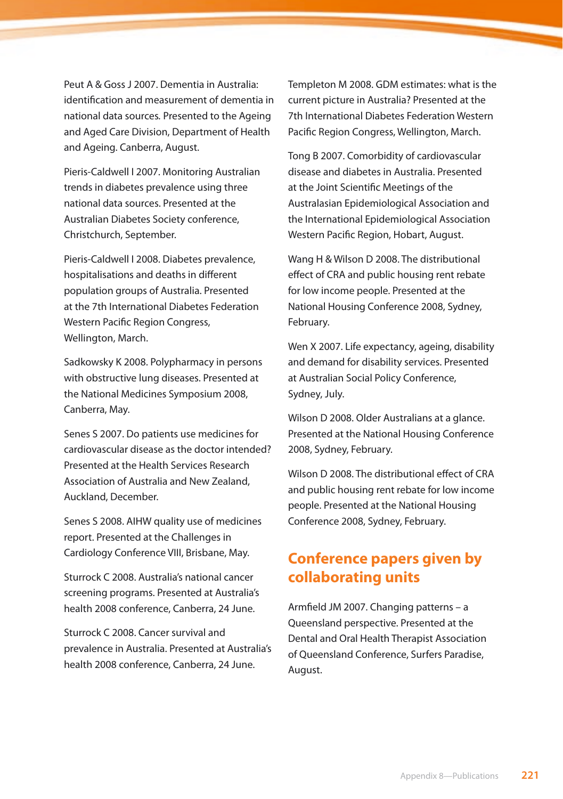Peut A & Goss J 2007. Dementia in Australia: identification and measurement of dementia in national data sources*.* Presented to the Ageing and Aged Care Division, Department of Health and Ageing. Canberra, August.

Pieris-Caldwell I 2007. Monitoring Australian trends in diabetes prevalence using three national data sources. Presented at the Australian Diabetes Society conference, Christchurch, September.

Pieris-Caldwell I 2008. Diabetes prevalence, hospitalisations and deaths in different population groups of Australia. Presented at the 7th International Diabetes Federation Western Pacific Region Congress, Wellington, March.

Sadkowsky K 2008. Polypharmacy in persons with obstructive lung diseases. Presented at the National Medicines Symposium 2008, Canberra, May.

Senes S 2007. Do patients use medicines for cardiovascular disease as the doctor intended? Presented at the Health Services Research Association of Australia and New Zealand, Auckland, December.

Senes S 2008. AIHW quality use of medicines report. Presented at the Challenges in Cardiology Conference VIII, Brisbane, May.

Sturrock C 2008. Australia's national cancer screening programs. Presented at Australia's health 2008 conference, Canberra, 24 June.

Sturrock C 2008. Cancer survival and prevalence in Australia. Presented at Australia's health 2008 conference, Canberra, 24 June.

Templeton M 2008. GDM estimates: what is the current picture in Australia? Presented at the 7th International Diabetes Federation Western Pacific Region Congress, Wellington, March.

Tong B 2007. Comorbidity of cardiovascular disease and diabetes in Australia. Presented at the Joint Scientific Meetings of the Australasian Epidemiological Association and the International Epidemiological Association Western Pacific Region, Hobart, August.

Wang H & Wilson D 2008. The distributional effect of CRA and public housing rent rebate for low income people. Presented at the National Housing Conference 2008, Sydney, February.

Wen X 2007. Life expectancy, ageing, disability and demand for disability services. Presented at Australian Social Policy Conference, Sydney, July.

Wilson D 2008. Older Australians at a glance. Presented at the National Housing Conference 2008, Sydney, February.

Wilson D 2008. The distributional effect of CRA and public housing rent rebate for low income people. Presented at the National Housing Conference 2008, Sydney, February.

# **Conference papers given by collaborating units**

Armfield JM 2007. Changing patterns – a Queensland perspective. Presented at the Dental and Oral Health Therapist Association of Queensland Conference, Surfers Paradise, August.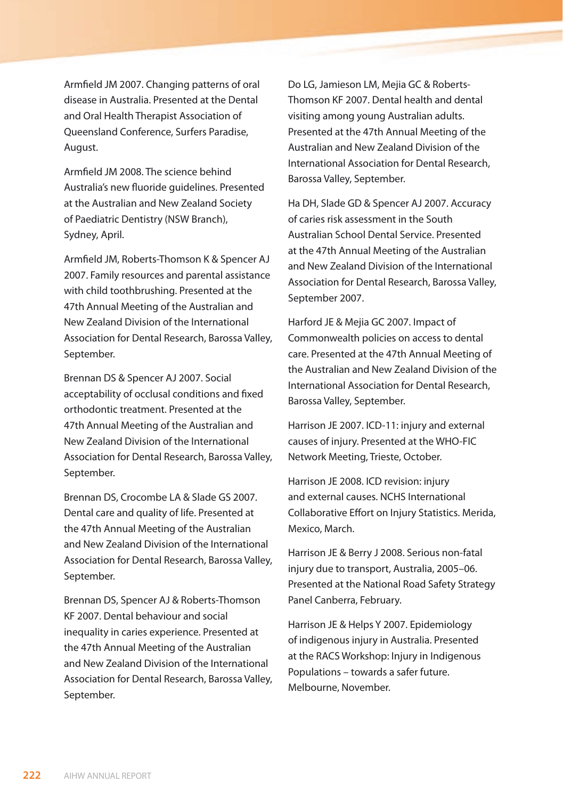Armfield JM 2007. Changing patterns of oral disease in Australia. Presented at the Dental and Oral Health Therapist Association of Queensland Conference, Surfers Paradise, August.

Armfield JM 2008. The science behind Australia's new fluoride guidelines. Presented at the Australian and New Zealand Society of Paediatric Dentistry (NSW Branch), Sydney, April.

Armfield JM, Roberts-Thomson K & Spencer AJ 2007. Family resources and parental assistance with child toothbrushing. Presented at the 47th Annual Meeting of the Australian and New Zealand Division of the International Association for Dental Research, Barossa Valley, September.

Brennan DS & Spencer AJ 2007. Social acceptability of occlusal conditions and fixed orthodontic treatment. Presented at the 47th Annual Meeting of the Australian and New Zealand Division of the International Association for Dental Research, Barossa Valley, September.

Brennan DS, Crocombe LA & Slade GS 2007. Dental care and quality of life. Presented at the 47th Annual Meeting of the Australian and New Zealand Division of the International Association for Dental Research, Barossa Valley, September.

Brennan DS, Spencer AJ & Roberts-Thomson KF 2007. Dental behaviour and social inequality in caries experience. Presented at the 47th Annual Meeting of the Australian and New Zealand Division of the International Association for Dental Research, Barossa Valley, September.

Do LG, Jamieson LM, Mejia GC & Roberts-Thomson KF 2007. Dental health and dental visiting among young Australian adults. Presented at the 47th Annual Meeting of the Australian and New Zealand Division of the International Association for Dental Research, Barossa Valley, September.

Ha DH, Slade GD & Spencer AJ 2007. Accuracy of caries risk assessment in the South Australian School Dental Service. Presented at the 47th Annual Meeting of the Australian and New Zealand Division of the International Association for Dental Research, Barossa Valley, September 2007.

Harford JE & Mejia GC 2007. Impact of Commonwealth policies on access to dental care. Presented at the 47th Annual Meeting of the Australian and New Zealand Division of the International Association for Dental Research, Barossa Valley, September.

Harrison JE 2007. ICD-11: injury and external causes of injury. Presented at the WHO-FIC Network Meeting, Trieste, October.

Harrison JE 2008. ICD revision: injury and external causes. NCHS International Collaborative Effort on Injury Statistics. Merida, Mexico, March.

Harrison JE & Berry J 2008. Serious non-fatal injury due to transport, Australia, 2005–06. Presented at the National Road Safety Strategy Panel Canberra, February.

Harrison JE & Helps Y 2007. Epidemiology of indigenous injury in Australia. Presented at the RACS Workshop: Injury in Indigenous Populations – towards a safer future. Melbourne, November.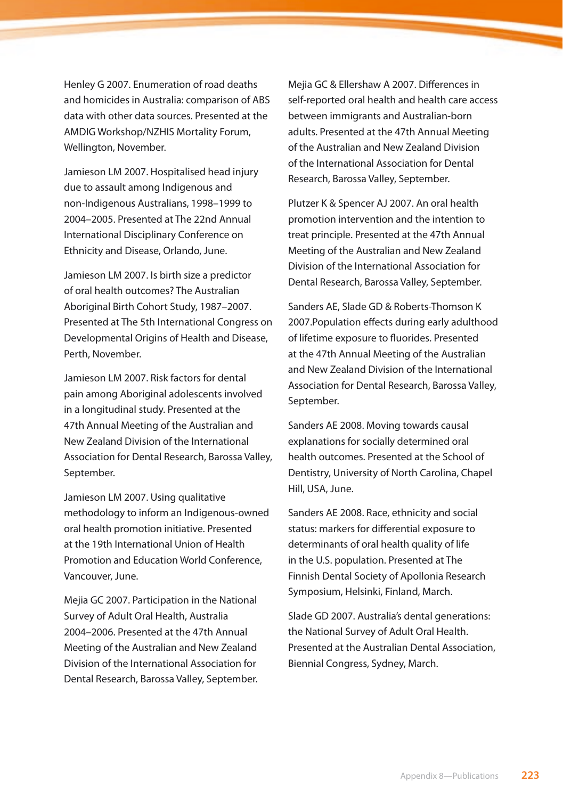Henley G 2007. Enumeration of road deaths and homicides in Australia: comparison of ABS data with other data sources. Presented at the AMDIG Workshop/NZHIS Mortality Forum, Wellington, November.

Jamieson LM 2007. Hospitalised head injury due to assault among Indigenous and non-Indigenous Australians, 1998–1999 to 2004–2005. Presented at The 22nd Annual International Disciplinary Conference on Ethnicity and Disease, Orlando, June.

Jamieson LM 2007. Is birth size a predictor of oral health outcomes? The Australian Aboriginal Birth Cohort Study, 1987–2007. Presented at The 5th International Congress on Developmental Origins of Health and Disease, Perth, November.

Jamieson LM 2007. Risk factors for dental pain among Aboriginal adolescents involved in a longitudinal study. Presented at the 47th Annual Meeting of the Australian and New Zealand Division of the International Association for Dental Research, Barossa Valley, September.

Jamieson LM 2007. Using qualitative methodology to inform an Indigenous-owned oral health promotion initiative. Presented at the 19th International Union of Health Promotion and Education World Conference, Vancouver, June.

Mejia GC 2007. Participation in the National Survey of Adult Oral Health, Australia 2004–2006. Presented at the 47th Annual Meeting of the Australian and New Zealand Division of the International Association for Dental Research, Barossa Valley, September. Mejia GC & Ellershaw A 2007. Differences in self-reported oral health and health care access between immigrants and Australian-born adults. Presented at the 47th Annual Meeting of the Australian and New Zealand Division of the International Association for Dental Research, Barossa Valley, September.

Plutzer K & Spencer AJ 2007. An oral health promotion intervention and the intention to treat principle. Presented at the 47th Annual Meeting of the Australian and New Zealand Division of the International Association for Dental Research, Barossa Valley, September.

Sanders AE, Slade GD & Roberts-Thomson K 2007.Population effects during early adulthood of lifetime exposure to fluorides. Presented at the 47th Annual Meeting of the Australian and New Zealand Division of the International Association for Dental Research, Barossa Valley, September.

Sanders AE 2008. Moving towards causal explanations for socially determined oral health outcomes. Presented at the School of Dentistry, University of North Carolina, Chapel Hill, USA, June.

Sanders AE 2008. Race, ethnicity and social status: markers for differential exposure to determinants of oral health quality of life in the U.S. population. Presented at The Finnish Dental Society of Apollonia Research Symposium, Helsinki, Finland, March.

Slade GD 2007. Australia's dental generations: the National Survey of Adult Oral Health. Presented at the Australian Dental Association, Biennial Congress, Sydney, March.